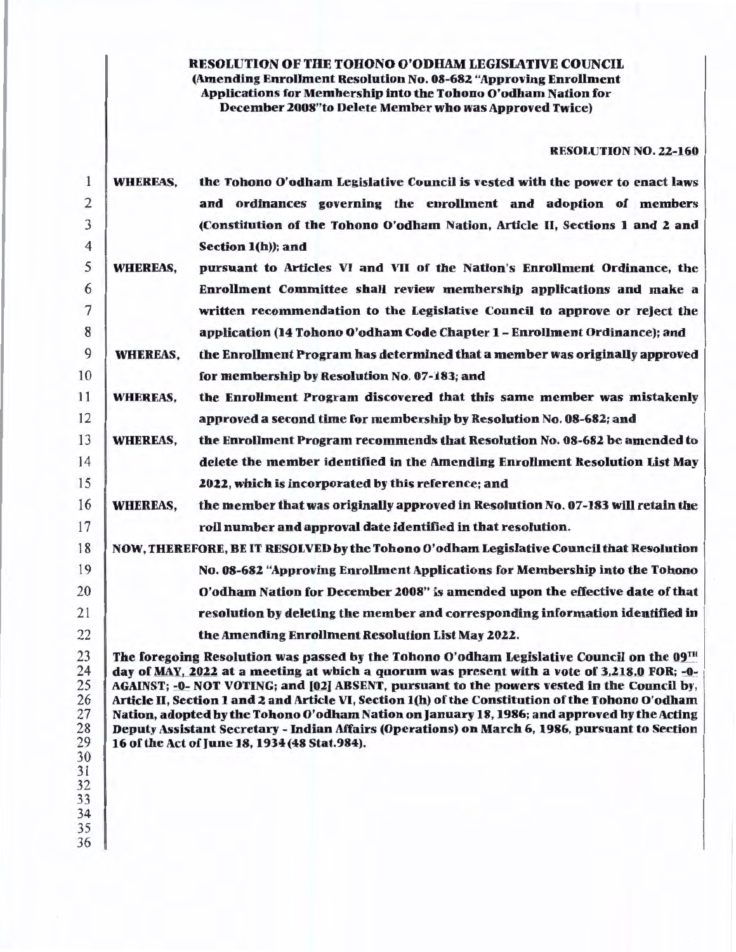# RESOLUTION OF THE TOHONO O'ODIIAM LEGISLATIVE COUNCIL (Amending Enrollment Resolution No. 08-682 "Approving Enrollment Applications for Membership into the Tohono O'odham Nation for December 2008"to Delete Member who was Approved Twice)

#### RESOLUTION NO. 22-160

| 1                                                                                | <b>WHEREAS.</b>                                                                          | the Tohono O'odham Legislative Council is vested with the power to enact laws                                                                                                                                                                                                                                                                                                                                                                                                                                                                                                                                                                   |  |  |  |  |
|----------------------------------------------------------------------------------|------------------------------------------------------------------------------------------|-------------------------------------------------------------------------------------------------------------------------------------------------------------------------------------------------------------------------------------------------------------------------------------------------------------------------------------------------------------------------------------------------------------------------------------------------------------------------------------------------------------------------------------------------------------------------------------------------------------------------------------------------|--|--|--|--|
| $\overline{2}$                                                                   |                                                                                          | and ordinances governing the enrollment and adoption of members                                                                                                                                                                                                                                                                                                                                                                                                                                                                                                                                                                                 |  |  |  |  |
| 3                                                                                |                                                                                          | (Constitution of the Tohono O'odham Nation, Article II, Sections 1 and 2 and                                                                                                                                                                                                                                                                                                                                                                                                                                                                                                                                                                    |  |  |  |  |
| 4                                                                                |                                                                                          | Section 1(h)); and                                                                                                                                                                                                                                                                                                                                                                                                                                                                                                                                                                                                                              |  |  |  |  |
| 5                                                                                | <b>WHEREAS,</b>                                                                          | pursuant to Articles VI and VII of the Nation's Enrollment Ordinance, the                                                                                                                                                                                                                                                                                                                                                                                                                                                                                                                                                                       |  |  |  |  |
| 6                                                                                |                                                                                          | Enrollment Committee shall review membership applications and make a                                                                                                                                                                                                                                                                                                                                                                                                                                                                                                                                                                            |  |  |  |  |
| 7                                                                                |                                                                                          | written recommendation to the Legislative Council to approve or reject the                                                                                                                                                                                                                                                                                                                                                                                                                                                                                                                                                                      |  |  |  |  |
| 8                                                                                |                                                                                          | application (14 Tohono O'odham Code Chapter 1 – Enrollment Ordinance); and                                                                                                                                                                                                                                                                                                                                                                                                                                                                                                                                                                      |  |  |  |  |
| 9                                                                                | <b>WHEREAS,</b>                                                                          | the Enrollment Program has determined that a member was originally approved                                                                                                                                                                                                                                                                                                                                                                                                                                                                                                                                                                     |  |  |  |  |
| 10                                                                               |                                                                                          | for membership by Resolution No. 07-183; and                                                                                                                                                                                                                                                                                                                                                                                                                                                                                                                                                                                                    |  |  |  |  |
| 11                                                                               | <b>WHEREAS,</b>                                                                          | the Enrollment Program discovered that this same member was mistakenly                                                                                                                                                                                                                                                                                                                                                                                                                                                                                                                                                                          |  |  |  |  |
| 12                                                                               |                                                                                          | approved a second time for membership by Resolution No. 08-682; and                                                                                                                                                                                                                                                                                                                                                                                                                                                                                                                                                                             |  |  |  |  |
| 13                                                                               | <b>WHEREAS,</b>                                                                          | the Enrollment Program recommends that Resolution No. 08-682 be amended to                                                                                                                                                                                                                                                                                                                                                                                                                                                                                                                                                                      |  |  |  |  |
| 14                                                                               |                                                                                          | delete the member identified in the Amending Enrollment Resolution List May                                                                                                                                                                                                                                                                                                                                                                                                                                                                                                                                                                     |  |  |  |  |
| 15                                                                               |                                                                                          | 2022, which is incorporated by this reference; and                                                                                                                                                                                                                                                                                                                                                                                                                                                                                                                                                                                              |  |  |  |  |
| 16                                                                               | <b>WHEREAS,</b>                                                                          | the member that was originally approved in Resolution No. 07-183 will retain the                                                                                                                                                                                                                                                                                                                                                                                                                                                                                                                                                                |  |  |  |  |
| 17                                                                               |                                                                                          | roll number and approval date identified in that resolution.                                                                                                                                                                                                                                                                                                                                                                                                                                                                                                                                                                                    |  |  |  |  |
| 18                                                                               | NOW, THEREFORE, BE IT RESOLVED by the Tohono O'odham Legislative Council that Resolution |                                                                                                                                                                                                                                                                                                                                                                                                                                                                                                                                                                                                                                                 |  |  |  |  |
| 19                                                                               |                                                                                          | No. 08-682 "Approving Enrollment Applications for Membership into the Tohono                                                                                                                                                                                                                                                                                                                                                                                                                                                                                                                                                                    |  |  |  |  |
| 20                                                                               |                                                                                          | O'odham Nation for December 2008" is amended upon the effective date of that                                                                                                                                                                                                                                                                                                                                                                                                                                                                                                                                                                    |  |  |  |  |
| 21                                                                               |                                                                                          | resolution by deleting the member and corresponding information identified in                                                                                                                                                                                                                                                                                                                                                                                                                                                                                                                                                                   |  |  |  |  |
| 22                                                                               |                                                                                          | the Amending Enrollment Resolution List May 2022.                                                                                                                                                                                                                                                                                                                                                                                                                                                                                                                                                                                               |  |  |  |  |
| 23<br>24<br>25<br>26<br>27<br>28<br>29<br>30<br>31<br>32<br>33<br>34<br>35<br>36 |                                                                                          | The foregoing Resolution was passed by the Tohono O'odham Legislative Council on the 09TH<br>day of MAY, 2022 at a meeting at which a quorum was present with a vote of 3,218.0 FOR; -0-<br>AGAINST; -0- NOT VOTING; and [02] ABSENT, pursuant to the powers vested in the Council by,<br>Article II, Section 1 and 2 and Article VI, Section 1(h) of the Constitution of the Tohono O'odham<br>Nation, adopted by the Tohono O'odham Nation on January 18, 1986; and approved by the Acting<br>Deputy Assistant Secretary - Indian Affairs (Operations) on March 6, 1986, pursuant to Section<br>16 of the Act of June 18, 1934 (48 Stat.984). |  |  |  |  |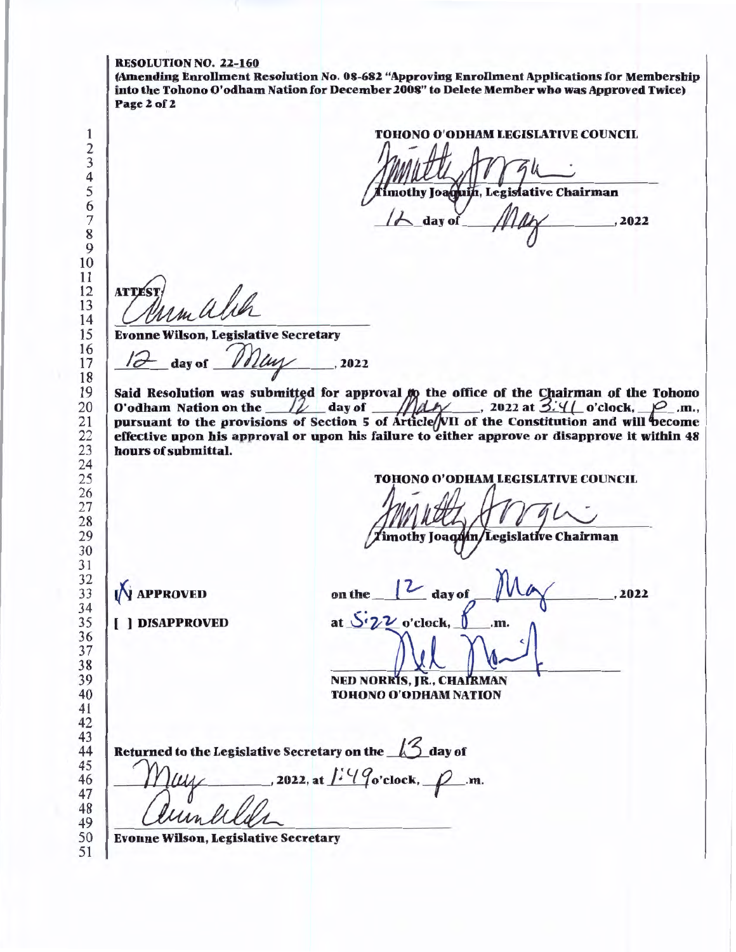|                                             | <b>TOHONO O'ODHAM LEGISLATIVE COUNCIL</b><br>imothy Joaquin, Legislative Chairman                                                         |
|---------------------------------------------|-------------------------------------------------------------------------------------------------------------------------------------------|
|                                             | $\lambda$ day of<br>2022                                                                                                                  |
| <b>ATTEST</b>                               |                                                                                                                                           |
| <b>Evonne Wilson, Legislative Secretary</b> |                                                                                                                                           |
| 12 day of May                               | , 2022                                                                                                                                    |
|                                             | pursuant to the provisions of Section 5 of Article/VII of the Constitution and will become                                                |
| hours of submittal.                         | effective upon his approval or upon his failure to either approve or disapprove it within 48<br><b>TOHONO O'ODHAM LEGISLATIVE COUNCIL</b> |
|                                             | imothy Joaqdín/Legislative Chairman                                                                                                       |
| <b>N</b> APPROVED                           | on the $\sqrt{2}$ day of<br>IVLa<br>, 2022                                                                                                |
| <b>I</b> 1 DISAPPROVED                      | at $S_2\nu$ o'clock,<br>.m.                                                                                                               |
|                                             | NED NORRIS, JR., CHAIRMAN<br>TOHONO O'ODHAM NATION                                                                                        |
|                                             | Returned to the Legislative Secretary on the 45 day of<br>, 2022, at $\frac{1}{2}$ / $\frac{1}{2}$ o'clock, $\frac{1}{2}$ .m.             |